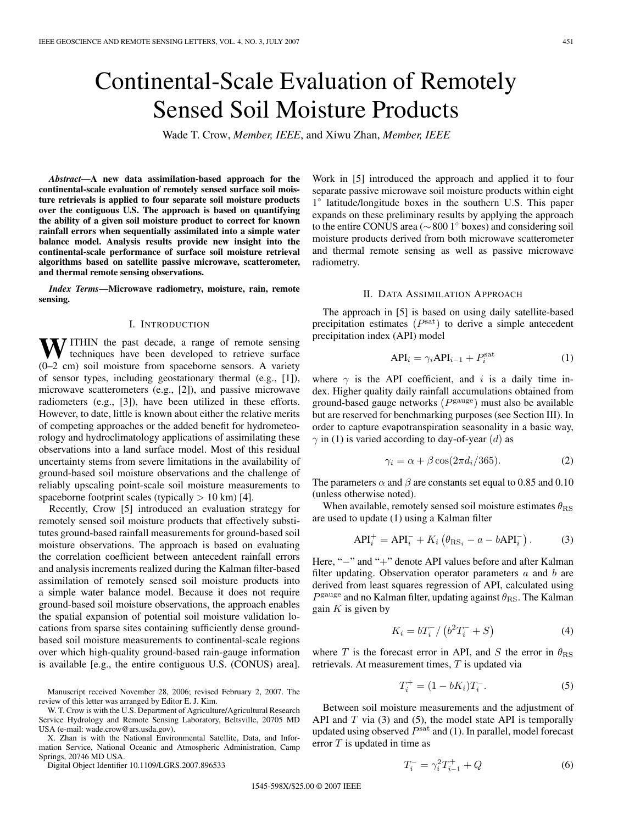# Continental-Scale Evaluation of Remotely Sensed Soil Moisture Products

Wade T. Crow, *Member, IEEE*, and Xiwu Zhan, *Member, IEEE*

*Abstract***—A new data assimilation-based approach for the continental-scale evaluation of remotely sensed surface soil moisture retrievals is applied to four separate soil moisture products over the contiguous U.S. The approach is based on quantifying the ability of a given soil moisture product to correct for known rainfall errors when sequentially assimilated into a simple water balance model. Analysis results provide new insight into the continental-scale performance of surface soil moisture retrieval algorithms based on satellite passive microwave, scatterometer, and thermal remote sensing observations.**

*Index Terms***—Microwave radiometry, moisture, rain, remote sensing.**

#### I. INTRODUCTION

WITHIN the past decade, a range of remote sensing<br>techniques have been developed to retrieve surface (0–2 cm) soil moisture from spaceborne sensors. A variety of sensor types, including geostationary thermal (e.g., [1]), microwave scatterometers (e.g., [2]), and passive microwave radiometers (e.g., [3]), have been utilized in these efforts. However, to date, little is known about either the relative merits of competing approaches or the added benefit for hydrometeorology and hydroclimatology applications of assimilating these observations into a land surface model. Most of this residual uncertainty stems from severe limitations in the availability of ground-based soil moisture observations and the challenge of reliably upscaling point-scale soil moisture measurements to spaceborne footprint scales (typically  $> 10$  km) [4].

Recently, Crow [5] introduced an evaluation strategy for remotely sensed soil moisture products that effectively substitutes ground-based rainfall measurements for ground-based soil moisture observations. The approach is based on evaluating the correlation coefficient between antecedent rainfall errors and analysis increments realized during the Kalman filter-based assimilation of remotely sensed soil moisture products into a simple water balance model. Because it does not require ground-based soil moisture observations, the approach enables the spatial expansion of potential soil moisture validation locations from sparse sites containing sufficiently dense groundbased soil moisture measurements to continental-scale regions over which high-quality ground-based rain-gauge information is available [e.g., the entire contiguous U.S. (CONUS) area].

Manuscript received November 28, 2006; revised February 2, 2007. The review of this letter was arranged by Editor E. J. Kim.

W. T. Crow is with the U.S. Department of Agriculture/Agricultural Research Service Hydrology and Remote Sensing Laboratory, Beltsville, 20705 MD USA (e-mail: wade.crow@ars.usda.gov).

X. Zhan is with the National Environmental Satellite, Data, and Information Service, National Oceanic and Atmospheric Administration, Camp Springs, 20746 MD USA.

Digital Object Identifier 10.1109/LGRS.2007.896533

Work in [5] introduced the approach and applied it to four separate passive microwave soil moisture products within eight 1◦ latitude/longitude boxes in the southern U.S. This paper expands on these preliminary results by applying the approach to the entire CONUS area (∼800 1◦ boxes) and considering soil moisture products derived from both microwave scatterometer and thermal remote sensing as well as passive microwave radiometry.

#### II. DATA ASSIMILATION APPROACH

The approach in [5] is based on using daily satellite-based precipitation estimates  $(P<sup>sat</sup>)$  to derive a simple antecedent precipitation index (API) model

$$
API_i = \gamma_i API_{i-1} + P_i^{\text{sat}} \tag{1}
$$

where  $\gamma$  is the API coefficient, and i is a daily time index. Higher quality daily rainfall accumulations obtained from ground-based gauge networks  $(P^{\text{gauge}})$  must also be available but are reserved for benchmarking purposes (see Section III). In order to capture evapotranspiration seasonality in a basic way,  $\gamma$  in (1) is varied according to day-of-year (*d*) as

$$
\gamma_i = \alpha + \beta \cos(2\pi d_i/365). \tag{2}
$$

The parameters  $\alpha$  and  $\beta$  are constants set equal to 0.85 and 0.10 (unless otherwise noted).

When available, remotely sensed soil moisture estimates  $\theta_{\rm RS}$ are used to update (1) using a Kalman filter

$$
API_i^+ = API_i^- + K_i \left( \theta_{RS_i} - a - bAPI_i^- \right). \tag{3}
$$

Here, "−" and "+" denote API values before and after Kalman filter updating. Observation operator parameters  $a$  and  $b$  are derived from least squares regression of API, calculated using  $P<sup>gauge</sup>$  and no Kalman filter, updating against  $\theta_{\rm RS}$ . The Kalman gain  $K$  is given by

$$
K_i = bT_i^- / (b^2 T_i^- + S)
$$
 (4)

where T is the forecast error in API, and S the error in  $\theta_{\rm RS}$ retrievals. At measurement times, T is updated via

$$
T_i^+ = (1 - bK_i)T_i^-.
$$
 (5)

Between soil moisture measurements and the adjustment of API and  $T$  via (3) and (5), the model state API is temporally updated using observed  $P<sup>sat</sup>$  and (1). In parallel, model forecast error  $T$  is updated in time as

$$
T_i^- = \gamma_i^2 T_{i-1}^+ + Q \tag{6}
$$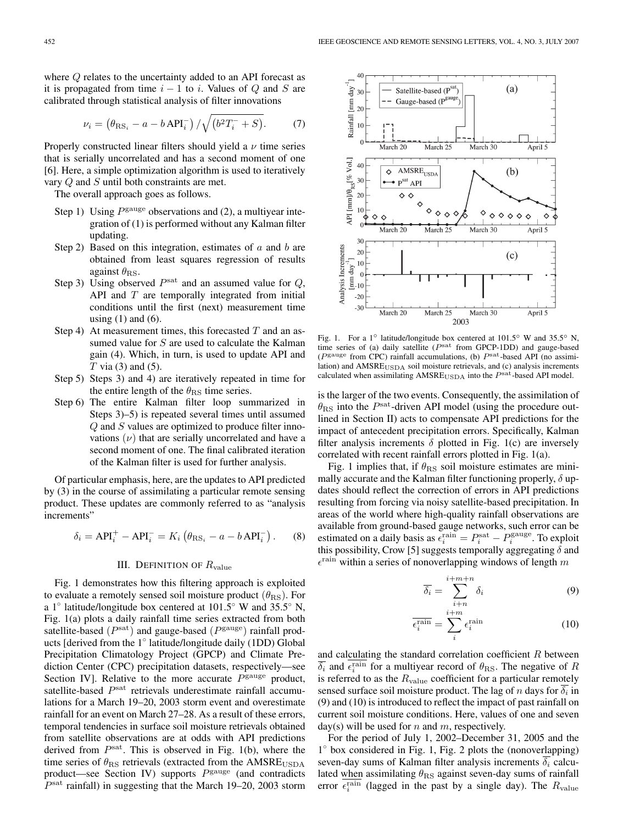where Q relates to the uncertainty added to an API forecast as it is propagated from time  $i - 1$  to i. Values of Q and S are calibrated through statistical analysis of filter innovations

$$
\nu_i = \left(\theta_{\text{RS}_i} - a - b \,\text{API}_i^-\right) / \sqrt{\left(b^2 T_i^- + S\right)}.\tag{7}
$$

Properly constructed linear filters should yield a  $\nu$  time series that is serially uncorrelated and has a second moment of one [6]. Here, a simple optimization algorithm is used to iteratively vary Q and S until both constraints are met.

The overall approach goes as follows.

- Step 1) Using  $P<sup>gauge</sup>$  observations and (2), a multiyear integration of (1) is performed without any Kalman filter updating.
- Step 2) Based on this integration, estimates of  $\alpha$  and  $\beta$  are obtained from least squares regression of results against  $\theta_{\rm RS}$ .
- Step 3) Using observed  $P<sup>sat</sup>$  and an assumed value for  $Q$ , API and  $T$  are temporally integrated from initial conditions until the first (next) measurement time using  $(1)$  and  $(6)$ .
- Step 4) At measurement times, this forecasted  $T$  and an assumed value for S are used to calculate the Kalman gain (4). Which, in turn, is used to update API and  $T$  via (3) and (5).
- Step 5) Steps 3) and 4) are iteratively repeated in time for the entire length of the  $\theta_{\rm RS}$  time series.
- Step 6) The entire Kalman filter loop summarized in Steps 3)–5) is repeated several times until assumed  $Q$  and  $S$  values are optimized to produce filter innovations  $(\nu)$  that are serially uncorrelated and have a second moment of one. The final calibrated iteration of the Kalman filter is used for further analysis.

Of particular emphasis, here, are the updates to API predicted by (3) in the course of assimilating a particular remote sensing product. These updates are commonly referred to as "analysis increments"

$$
\delta_i = \text{API}_i^+ - \text{API}_i^- = K_i \left( \theta_{\text{RS}_i} - a - b \text{ API}_i^- \right). \tag{8}
$$

# III. DEFINITION OF  $R_{\text{value}}$

Fig. 1 demonstrates how this filtering approach is exploited to evaluate a remotely sensed soil moisture product  $(\theta_{\rm RS})$ . For a 1◦ latitude/longitude box centered at 101.5◦ W and 35.5◦ N, Fig. 1(a) plots a daily rainfall time series extracted from both satellite-based ( $P<sup>sat</sup>$ ) and gauge-based ( $P<sup>gauge</sup>$ ) rainfall products [derived from the 1◦ latitude/longitude daily (1DD) Global Precipitation Climatology Project (GPCP) and Climate Prediction Center (CPC) precipitation datasets, respectively—see Section IV]. Relative to the more accurate  $P<sup>gauge</sup>$  product, satellite-based  $P<sup>sat</sup>$  retrievals underestimate rainfall accumulations for a March 19–20, 2003 storm event and overestimate rainfall for an event on March 27–28. As a result of these errors, temporal tendencies in surface soil moisture retrievals obtained from satellite observations are at odds with API predictions derived from  $P<sup>sat</sup>$ . This is observed in Fig. 1(b), where the time series of  $\theta_{\rm BS}$  retrievals (extracted from the AMSRE<sub>USDA</sub> product—see Section IV) supports  $P<sup>gauge</sup>$  (and contradicts  $P<sup>sat</sup>$  rainfall) in suggesting that the March 19–20, 2003 storm



Fig. 1. For a 1◦ latitude/longitude box centered at 101.5◦ W and 35.5◦ N, time series of (a) daily satellite ( $P<sup>sat</sup>$  from GPCP-1DD) and gauge-based ( $P^{\text{gauge}}$  from CPC) rainfall accumulations, (b)  $P^{\text{sat}}$ -based API (no assimilation) and  $AMSRE<sub>USDA</sub>$  soil moisture retrievals, and (c) analysis increments calculated when assimilating  $AMSRE<sub>USDA</sub>$  into the  $P<sup>sat</sup>$ -based API model.

is the larger of the two events. Consequently, the assimilation of  $\theta_{\rm RS}$  into the *P*<sup>sat</sup>-driven API model (using the procedure out-<br>lined in Section II) acts to companients API predictions for the lined in Section II) acts to compensate API predictions for the impact of antecedent precipitation errors. Specifically, Kalman filter analysis increments  $\delta$  plotted in Fig. 1(c) are inversely correlated with recent rainfall errors plotted in Fig. 1(a).

Fig. 1 implies that, if  $\theta_{\rm RS}$  soil moisture estimates are minimally accurate and the Kalman filter functioning properly,  $\delta$  updates should reflect the correction of errors in API predictions resulting from forcing via noisy satellite-based precipitation. In areas of the world where high-quality rainfall observations are available from ground-based gauge networks, such error can be estimated on a daily basis as  $\epsilon_i^{\text{rain}} = P_i^{\text{sat}} - P_i^{\text{gauge}}$ . To exploit this possibility, Crow [5] suggests temporally aggregating  $\delta$  and  $\epsilon^{\text{rain}}$  within a series of nonoverlapping windows of length m

$$
\overline{\delta_i} = \sum_{\substack{i+m \\ i+m}}^{i+m+n} \delta_i \tag{9}
$$

$$
\overline{\epsilon_i^{\text{rain}}} = \sum_i^{i+m} \epsilon_i^{\text{rain}} \tag{10}
$$

and calculating the standard correlation coefficient  $R$  between  $\overline{\delta_i}$  and  $\overline{\epsilon_i^{\text{rain}}}$  for a multiyear record of  $\theta_{\text{RS}}$ . The negative of R<br>is referred to as the B coefficient for a pertially remately is referred to as the  $R_{value}$  coefficient for a particular remotely sensed surface soil moisture product. The lag of n days for  $\delta_i$  in (9) and (10) is introduced to reflect the impact of past rainfall on current soil moisture conditions. Here, values of one and seven day(s) will be used for  $n$  and  $m$ , respectively.

For the period of July 1, 2002–December 31, 2005 and the 1◦ box considered in Fig. 1, Fig. 2 plots the (nonoverlapping) seven-day sums of Kalman filter analysis increments  $\delta_i$  calculated when assimilating  $\theta_{\rm RS}$  against seven-day sums of rainfall error  $\overline{\epsilon_i^{\text{rain}}}$  (lagged in the past by a single day). The  $R_{\text{value}}$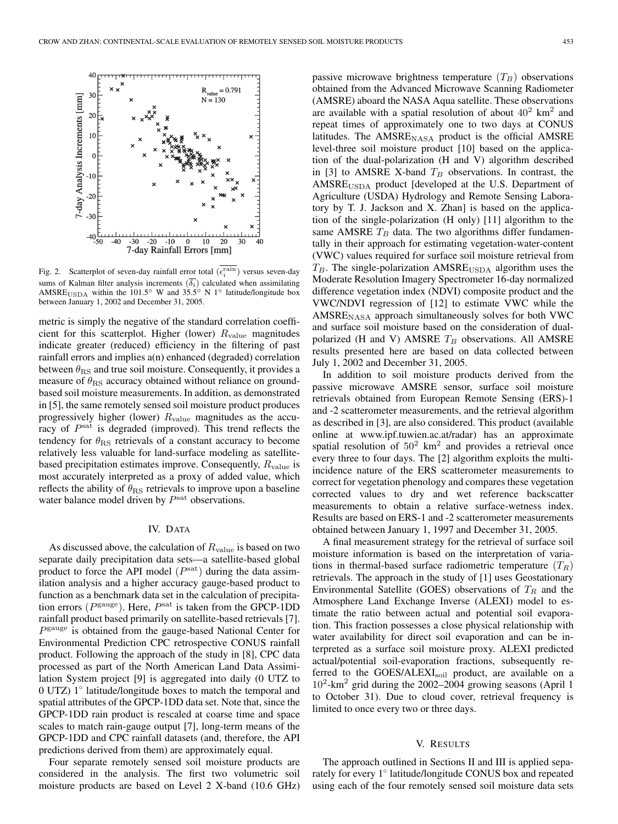

Fig. 2. Scatterplot of seven-day rainfall error total  $(\epsilon_i^{\text{rain}})$  versus seven-day sums of Kalman filter analysis increments  $(\delta_i)$  calculated when assimilating AMSRE<sub>USDA</sub> within the 101.5<sup>°</sup> W and 35.5<sup>°</sup> N 1<sup>°</sup> latitude/longitude box<br>hetween January 1, 2002 and December 31, 2005 between January 1, 2002 and December 31, 2005.

metric is simply the negative of the standard correlation coefficient for this scatterplot. Higher (lower)  $R_{value}$  magnitudes indicate greater (reduced) efficiency in the filtering of past rainfall errors and implies a(n) enhanced (degraded) correlation between  $\theta_{\rm RS}$  and true soil moisture. Consequently, it provides a measure of  $\theta_{\rm BS}$  accuracy obtained without reliance on groundbased soil moisture measurements. In addition, as demonstrated in [5], the same remotely sensed soil moisture product produces progressively higher (lower)  $R_{value}$  magnitudes as the accuracy of  $P<sup>sat</sup>$  is degraded (improved). This trend reflects the tendency for  $\theta_{\rm RS}$  retrievals of a constant accuracy to become relatively less valuable for land-surface modeling as satellitebased precipitation estimates improve. Consequently,  $R_{\text{value}}$  is most accurately interpreted as a proxy of added value, which reflects the ability of  $\theta_{\rm RS}$  retrievals to improve upon a baseline water balance model driven by  $P<sup>sat</sup>$  observations.

### IV. DATA

As discussed above, the calculation of  $R_{value}$  is based on two separate daily precipitation data sets—a satellite-based global product to force the API model  $(P<sup>sat</sup>)$  during the data assimilation analysis and a higher accuracy gauge-based product to function as a benchmark data set in the calculation of precipitation errors ( $P<sup>gauge</sup>$ ). Here,  $P<sup>sat</sup>$  is taken from the GPCP-1DD rainfall product based primarily on satellite-based retrievals [7].  $P<sup>gauge</sup>$  is obtained from the gauge-based National Center for Environmental Prediction CPC retrospective CONUS rainfall product. Following the approach of the study in [8], CPC data processed as part of the North American Land Data Assimilation System project [9] is aggregated into daily (0 UTZ to 0 UTZ) 1◦ latitude/longitude boxes to match the temporal and spatial attributes of the GPCP-1DD data set. Note that, since the GPCP-1DD rain product is rescaled at coarse time and space scales to match rain-gauge output [7], long-term means of the GPCP-1DD and CPC rainfall datasets (and, therefore, the API predictions derived from them) are approximately equal.

Four separate remotely sensed soil moisture products are considered in the analysis. The first two volumetric soil moisture products are based on Level 2 X-band (10.6 GHz)

passive microwave brightness temperature  $(T_B)$  observations obtained from the Advanced Microwave Scanning Radiometer (AMSRE) aboard the NASA Aqua satellite. These observations are available with a spatial resolution of about  $40^2$  km<sup>2</sup> and repeat times of approximately one to two days at CONUS latitudes. The  $AMSRE<sub>NASA</sub>$  product is the official  $AMSRE$ level-three soil moisture product [10] based on the application of the dual-polarization (H and V) algorithm described in [3] to AMSRE X-band  $T_B$  observations. In contrast, the  $AMSRE<sub>USDA</sub>$  product [developed at the U.S. Department of Agriculture (USDA) Hydrology and Remote Sensing Laboratory by T. J. Jackson and X. Zhan] is based on the application of the single-polarization (H only) [11] algorithm to the same AMSRE  $T_B$  data. The two algorithms differ fundamentally in their approach for estimating vegetation-water-content (VWC) values required for surface soil moisture retrieval from  $T_B$ . The single-polarization  $AMSRE<sub>USDA</sub>$  algorithm uses the Moderate Resolution Imagery Spectrometer 16-day normalized difference vegetation index (NDVI) composite product and the VWC/NDVI regression of [12] to estimate VWC while the  $AMSRE<sub>NASA</sub>$  approach simultaneously solves for both VWC and surface soil moisture based on the consideration of dualpolarized (H and V) AMSRE T*<sup>B</sup>* observations. All AMSRE results presented here are based on data collected between July 1, 2002 and December 31, 2005.

In addition to soil moisture products derived from the passive microwave AMSRE sensor, surface soil moisture retrievals obtained from European Remote Sensing (ERS)-1 and -2 scatterometer measurements, and the retrieval algorithm as described in [3], are also considered. This product (available online at www.ipf.tuwien.ac.at/radar) has an approximate spatial resolution of  $50^2$  km<sup>2</sup> and provides a retrieval once every three to four days. The [2] algorithm exploits the multiincidence nature of the ERS scatterometer measurements to correct for vegetation phenology and compares these vegetation corrected values to dry and wet reference backscatter measurements to obtain a relative surface-wetness index. Results are based on ERS-1 and -2 scatterometer measurements obtained between January 1, 1997 and December 31, 2005.

A final measurement strategy for the retrieval of surface soil moisture information is based on the interpretation of variations in thermal-based surface radiometric temperature  $(T_R)$ retrievals. The approach in the study of [1] uses Geostationary Environmental Satellite (GOES) observations of T*<sup>R</sup>* and the Atmosphere Land Exchange Inverse (ALEXI) model to estimate the ratio between actual and potential soil evaporation. This fraction possesses a close physical relationship with water availability for direct soil evaporation and can be interpreted as a surface soil moisture proxy. ALEXI predicted actual/potential soil-evaporation fractions, subsequently referred to the GOES/ALEXI<sub>soil</sub> product, are available on a  $10^2$ -km<sup>2</sup> grid during the 2002–2004 growing seasons (April 1) to October 31). Due to cloud cover, retrieval frequency is limited to once every two or three days.

# V. RESULTS

The approach outlined in Sections II and III is applied separately for every 1◦ latitude/longitude CONUS box and repeated using each of the four remotely sensed soil moisture data sets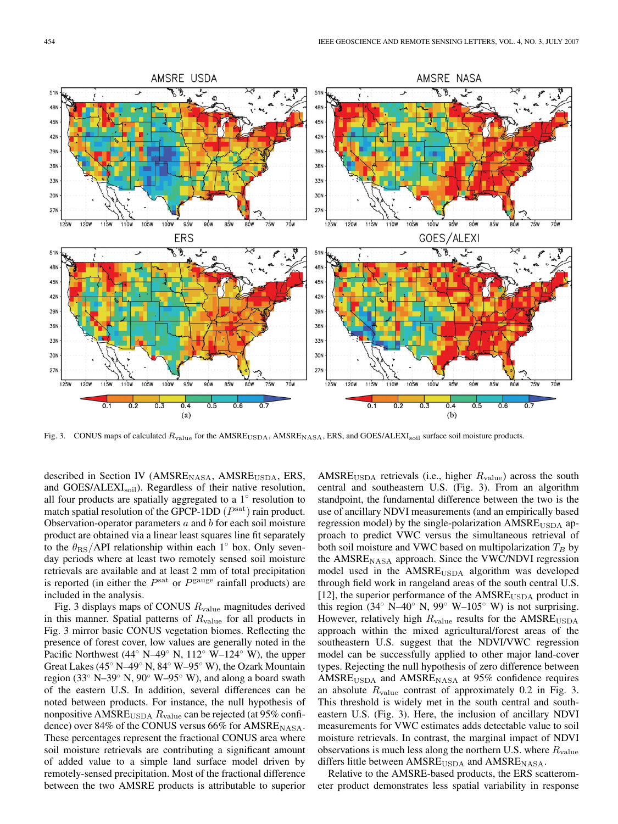

Fig. 3. CONUS maps of calculated  $R_{\text{value}}$  for the AMSRE<sub>USDA</sub>, AMSRE<sub>NASA</sub>, ERS, and GOES/ALEXI<sub>soil</sub> surface soil moisture products.

described in Section IV ( $AMSRE<sub>NASA</sub>$ ,  $AMSRE<sub>USDA</sub>$ ,  $ERS$ , and GOES/ALEXI<sub>soil</sub>). Regardless of their native resolution, all four products are spatially aggregated to a  $1<sup>°</sup>$  resolution to match spatial resolution of the GPCP-1DD  $(P<sup>sat</sup>)$  rain product. Observation-operator parameters  $a$  and  $b$  for each soil moisture product are obtained via a linear least squares line fit separately to the  $\theta_{\rm RS}/\text{API}$  relationship within each 1 $\degree$  box. Only sevenday periods where at least two remotely sensed soil moisture retrievals are available and at least 2 mm of total precipitation is reported (in either the  $P<sup>sat</sup>$  or  $P<sup>gauge</sup>$  rainfall products) are included in the analysis.

Fig. 3 displays maps of CONUS  $R_{value}$  magnitudes derived in this manner. Spatial patterns of  $R_{value}$  for all products in Fig. 3 mirror basic CONUS vegetation biomes. Reflecting the presence of forest cover, low values are generally noted in the Pacific Northwest (44◦ N–49◦ N, 112◦ W–124◦ W), the upper Great Lakes (45◦ N–49◦ N, 84◦ W–95◦ W), the Ozark Mountain region (33◦ N–39◦ N, 90◦ W–95◦ W), and along a board swath of the eastern U.S. In addition, several differences can be noted between products. For instance, the null hypothesis of nonpositive AMSRE<sub>USDA</sub>  $R_{value}$  can be rejected (at 95% confidence) over 84% of the CONUS versus 66% for  $AMSRE_{NASA}$ . These percentages represent the fractional CONUS area where soil moisture retrievals are contributing a significant amount of added value to a simple land surface model driven by remotely-sensed precipitation. Most of the fractional difference between the two AMSRE products is attributable to superior AMSRE<sub>USDA</sub> retrievals (i.e., higher  $R_{value}$ ) across the south central and southeastern U.S. (Fig. 3). From an algorithm standpoint, the fundamental difference between the two is the use of ancillary NDVI measurements (and an empirically based regression model) by the single-polarization  $AMSRE<sub>USDA</sub>$  approach to predict VWC versus the simultaneous retrieval of both soil moisture and VWC based on multipolarization T*<sup>B</sup>* by the  $AMSRE<sub>NASA</sub>$  approach. Since the VWC/NDVI regression model used in the AMSRE<sub>USDA</sub> algorithm was developed through field work in rangeland areas of the south central U.S. [12], the superior performance of the  $AMSRE<sub>USDA</sub>$  product in this region (34° N–40° N, 99° W–105° W) is not surprising. However, relatively high  $R_{value}$  results for the AMSRE<sub>USDA</sub> approach within the mixed agricultural/forest areas of the southeastern U.S. suggest that the NDVI/VWC regression model can be successfully applied to other major land-cover types. Rejecting the null hypothesis of zero difference between  $AMSRE<sub>USDA</sub>$  and  $AMSRE<sub>NASA</sub>$  at 95% confidence requires an absolute  $R_{value}$  contrast of approximately 0.2 in Fig. 3. This threshold is widely met in the south central and southeastern U.S. (Fig. 3). Here, the inclusion of ancillary NDVI measurements for VWC estimates adds detectable value to soil moisture retrievals. In contrast, the marginal impact of NDVI observations is much less along the northern U.S. where  $R_{value}$ differs little between  $AMSRE<sub>USDA</sub>$  and  $AMSRE<sub>NASA</sub>$ .

Relative to the AMSRE-based products, the ERS scatterometer product demonstrates less spatial variability in response